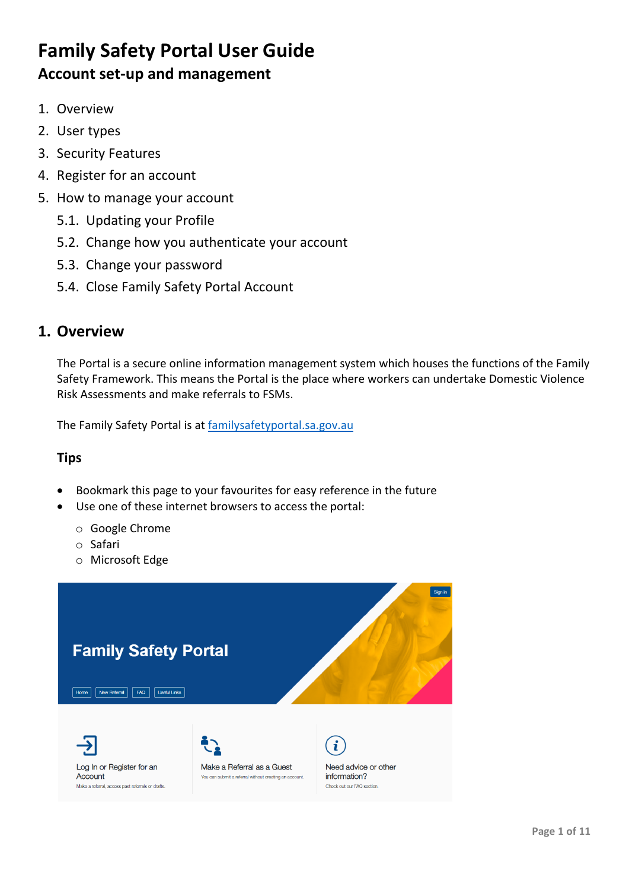- 1. Overview
- 2. User types
- 3. Security Features
- 4. Register for an account
- 5. How to manage your account
	- 5.1. Updating your Profile
	- 5.2. Change how you authenticate your account
	- 5.3. Change your password
	- 5.4. Close Family Safety Portal Account

# **1. Overview**

The Portal is a secure online information management system which houses the functions of the Family Safety Framework. This means the Portal is the place where workers can undertake Domestic Violence Risk Assessments and make referrals to FSMs.

The Family Safety Portal is at [familysafetyportal.sa.gov.au](https://familysafetyportal.sa.gov.au/)

### **Tips**

- Bookmark this page to your favourites for easy reference in the future
- Use one of these internet browsers to access the portal:
	- o Google Chrome
	- o Safari
	- o Microsoft Edge

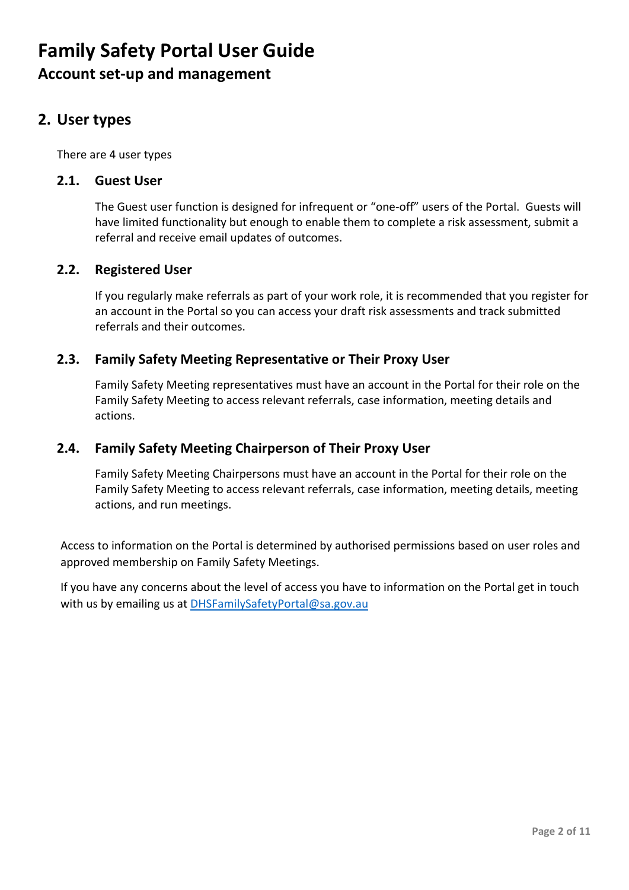# **2. User types**

There are 4 user types

#### **2.1. Guest User**

The Guest user function is designed for infrequent or "one-off" users of the Portal. Guests will have limited functionality but enough to enable them to complete a risk assessment, submit a referral and receive email updates of outcomes.

### **2.2. Registered User**

If you regularly make referrals as part of your work role, it is recommended that you register for an account in the Portal so you can access your draft risk assessments and track submitted referrals and their outcomes.

### **2.3. Family Safety Meeting Representative or Their Proxy User**

Family Safety Meeting representatives must have an account in the Portal for their role on the Family Safety Meeting to access relevant referrals, case information, meeting details and actions.

### **2.4. Family Safety Meeting Chairperson of Their Proxy User**

Family Safety Meeting Chairpersons must have an account in the Portal for their role on the Family Safety Meeting to access relevant referrals, case information, meeting details, meeting actions, and run meetings.

Access to information on the Portal is determined by authorised permissions based on user roles and approved membership on Family Safety Meetings.

If you have any concerns about the level of access you have to information on the Portal get in touch with us by emailing us at [DHSFamilySafetyPortal@sa.gov.au](mailto:DHSFamilySafetyPortal@sa.gov.au)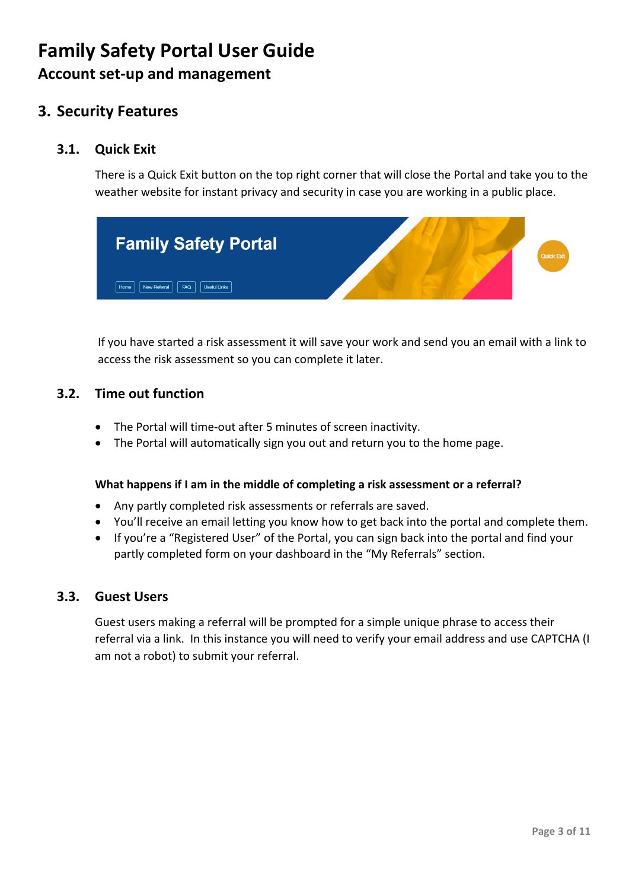# **3. Security Features**

### **3.1. Quick Exit**

There is a Quick Exit button on the top right corner that will close the Portal and take you to the weather website for instant privacy and security in case you are working in a public place.



If you have started a risk assessment it will save your work and send you an email with a link to access the risk assessment so you can complete it later.

### **3.2. Time out function**

- The Portal will time-out after 5 minutes of screen inactivity.
- The Portal will automatically sign you out and return you to the home page.

#### **What happens if I am in the middle of completing a risk assessment or a referral?**

- Any partly completed risk assessments or referrals are saved.
- You'll receive an email letting you know how to get back into the portal and complete them.
- If you're a "Registered User" of the Portal, you can sign back into the portal and find your partly completed form on your dashboard in the "My Referrals" section.

### **3.3. Guest Users**

Guest users making a referral will be prompted for a simple unique phrase to access their referral via a link. In this instance you will need to verify your email address and use CAPTCHA (I am not a robot) to submit your referral.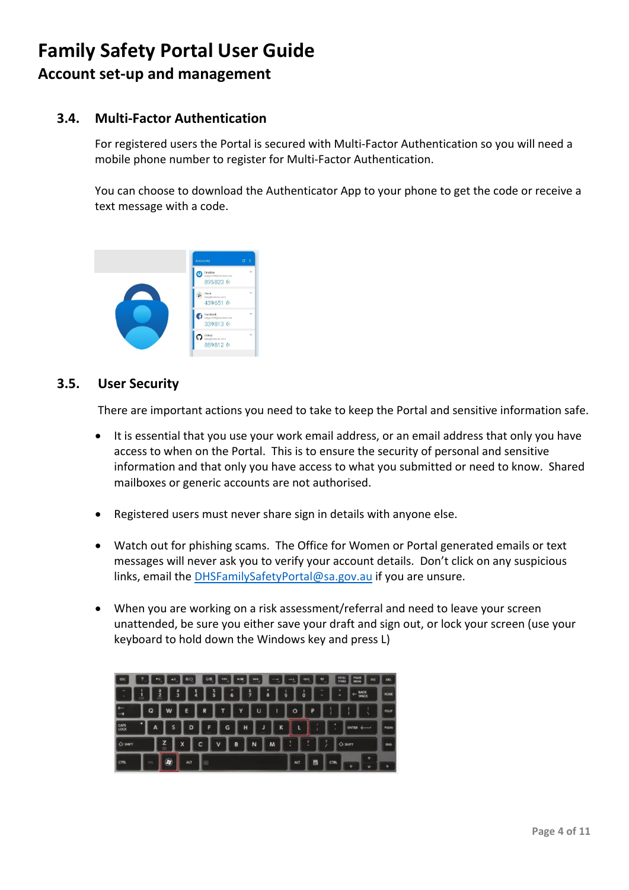## **3.4. Multi-Factor Authentication**

For registered users the Portal is secured with Multi-Factor Authentication so you will need a mobile phone number to register for Multi-Factor Authentication.

You can choose to download the Authenticator App to your phone to get the code or receive a text message with a code.



### **3.5. User Security**

There are important actions you need to take to keep the Portal and sensitive information safe.

- It is essential that you use your work email address, or an email address that only you have access to when on the Portal. This is to ensure the security of personal and sensitive information and that only you have access to what you submitted or need to know. Shared mailboxes or generic accounts are not authorised.
- Registered users must never share sign in details with anyone else.
- Watch out for phishing scams. The Office for Women or Portal generated emails or text messages will never ask you to verify your account details. Don't click on any suspicious links, email the [DHSFamilySafetyPortal@sa.gov.au](mailto:DHSFamilySafetyPortal@sa.gov.au) if you are unsure.
- When you are working on a risk assessment/referral and need to leave your screen unattended, be sure you either save your draft and sign out, or lock your screen (use your keyboard to hold down the Windows key and press L)

| <b>ESC</b><br>, | vo              | A0 | <b>BJO</b>         | Q | 344         | $-21$ | œ      | -- | -                        | ۳<br>ovo | PRISC<br><b>SYSING</b> | PALISE<br>BREAK<br><b>INS</b>             | <b>DEL</b>  |
|-----------------|-----------------|----|--------------------|---|-------------|-------|--------|----|--------------------------|----------|------------------------|-------------------------------------------|-------------|
| AT 12           | 2<br><b>FR3</b> |    | <b>ء</b><br>3<br>4 | š | ۸<br>ı<br>6 | まフ    | ı<br>8 | 9  | ı<br>$\ddot{\mathbf{0}}$ | ۰        | ٠                      | <b>BACK</b><br>SPACE<br>$\leftarrow$      | <b>HOME</b> |
| ×.<br>٠         | Q               | W  | E                  | R |             | Y     | U      |    | $\circ$                  | P        |                        |                                           | <b>PGUP</b> |
| CAPS            | A               | s  | D                  | F | G           | H     | J      | K  | I,                       |          | ٠                      | $\overline{\phantom{m}}$<br><b>ENTER</b>  | <b>PGON</b> |
| O SHIFT         |                 | z  | X                  | c | ٧           | B     | N      | M  |                          | ۶<br>٠   |                        | $O$ SHIFT                                 | <b>END</b>  |
| CTR.            | FN              | Ο  | <b>ALT</b>         | 闽 |             |       |        |    | <b>ALT</b>               | 郾        | <b>CTRL</b>            | $\ddot{\phantom{1}}$<br>$\leftarrow$<br>٠ | →           |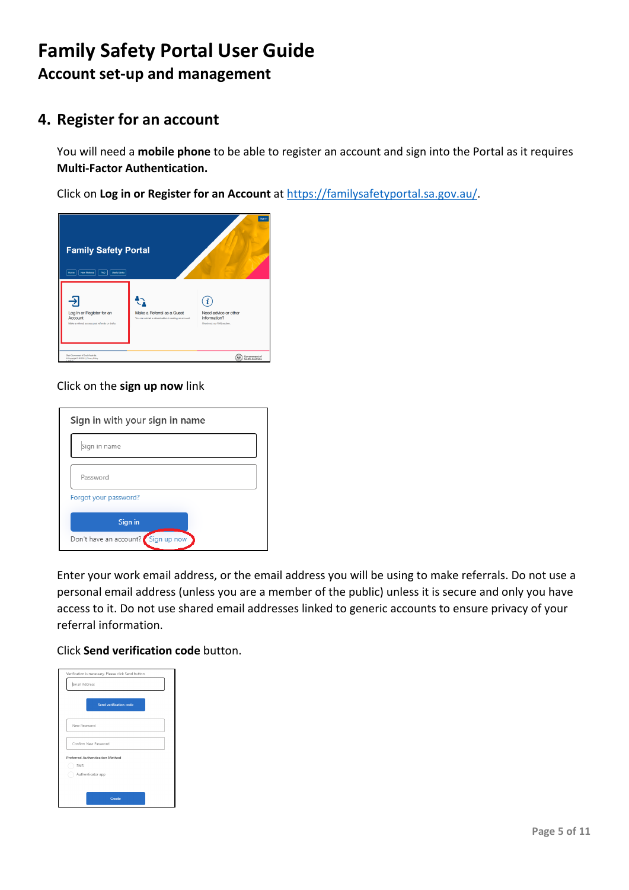# **4. Register for an account**

You will need a **mobile phone** to be able to register an account and sign into the Portal as it requires **Multi-Factor Authentication.**

Click on **Log in or Register for an Account** at [https://familysafetyportal.sa.gov.au/.](https://familysafetyportal.sa.gov.au/)



#### Click on the **sign up now** link

| Sign in with your sign in name     |  |
|------------------------------------|--|
| Sign in name                       |  |
| Password                           |  |
| Forgot your password?              |  |
| Sign in                            |  |
| Don't have an account? Sign up now |  |

Enter your work email address, or the email address you will be using to make referrals. Do not use a personal email address (unless you are a member of the public) unless it is secure and only you have access to it. Do not use shared email addresses linked to generic accounts to ensure privacy of your referral information.

#### Click **Send verification code** button.

| Email Address |                                 |                        |  |
|---------------|---------------------------------|------------------------|--|
|               |                                 | Send verification code |  |
| New Password  |                                 |                        |  |
|               | Confirm New Password            |                        |  |
| SMS           | Preferred Authentication Method |                        |  |
|               | Authenticator app               |                        |  |
|               |                                 | Create                 |  |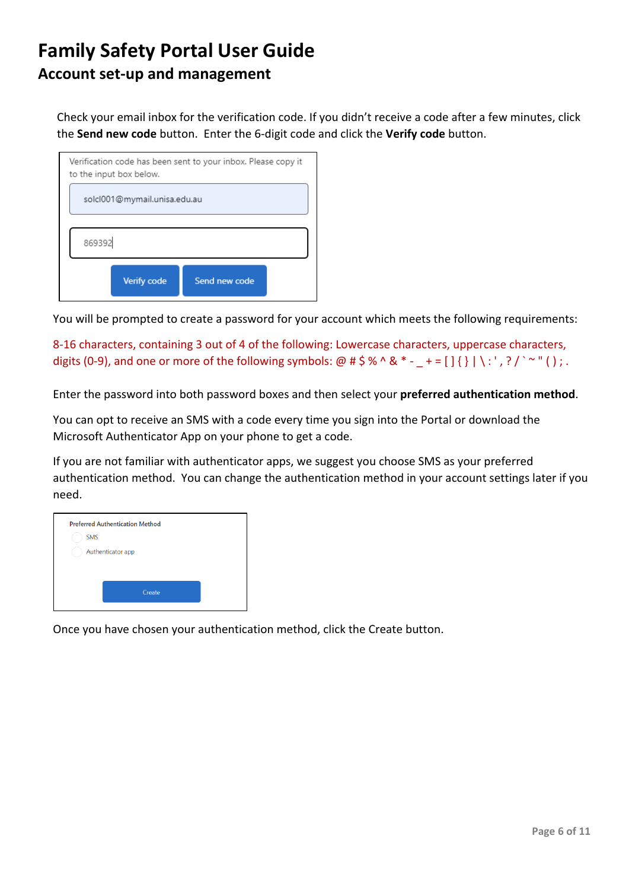Check your email inbox for the verification code. If you didn't receive a code after a few minutes, click the **Send new code** button. Enter the 6-digit code and click the **Verify code** button.



You will be prompted to create a password for your account which meets the following requirements:

8-16 characters, containing 3 out of 4 of the following: Lowercase characters, uppercase characters, digits (0-9), and one or more of the following symbols:  $\omega$  # \$ % ^ & \* - \_ + = [ ] { } | \ : ' , ? / ` ~ " ( ) ; .

Enter the password into both password boxes and then select your **preferred authentication method**.

You can opt to receive an SMS with a code every time you sign into the Portal or download the Microsoft Authenticator App on your phone to get a code.

If you are not familiar with authenticator apps, we suggest you choose SMS as your preferred authentication method. You can change the authentication method in your account settings later if you need.



Once you have chosen your authentication method, click the Create button.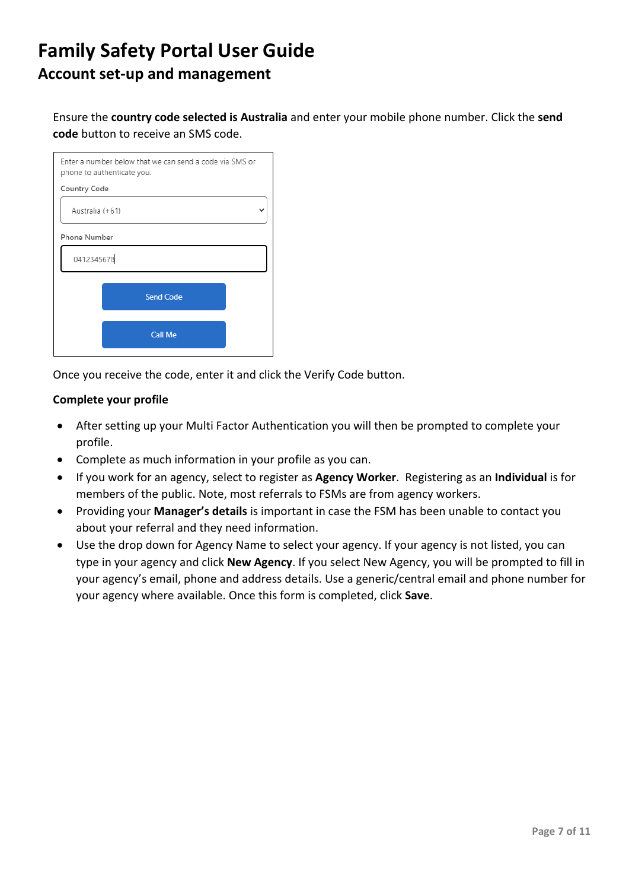Ensure the **country code selected is Australia** and enter your mobile phone number. Click the **send code** button to receive an SMS code.

| Enter a number below that we can send a code via SMS or<br>phone to authenticate you. |
|---------------------------------------------------------------------------------------|
| Country Code                                                                          |
| Australia (+61)                                                                       |
| <b>Phone Number</b>                                                                   |
| 0412345678                                                                            |
| <b>Send Code</b>                                                                      |
| <b>Call Me</b>                                                                        |

Once you receive the code, enter it and click the Verify Code button.

#### **Complete your profile**

- After setting up your Multi Factor Authentication you will then be prompted to complete your profile.
- Complete as much information in your profile as you can.
- If you work for an agency, select to register as **Agency Worker**. Registering as an **Individual** is for members of the public. Note, most referrals to FSMs are from agency workers.
- Providing your **Manager's details** is important in case the FSM has been unable to contact you about your referral and they need information.
- Use the drop down for Agency Name to select your agency. If your agency is not listed, you can type in your agency and click **New Agency**. If you select New Agency, you will be prompted to fill in your agency's email, phone and address details. Use a generic/central email and phone number for your agency where available. Once this form is completed, click **Save**.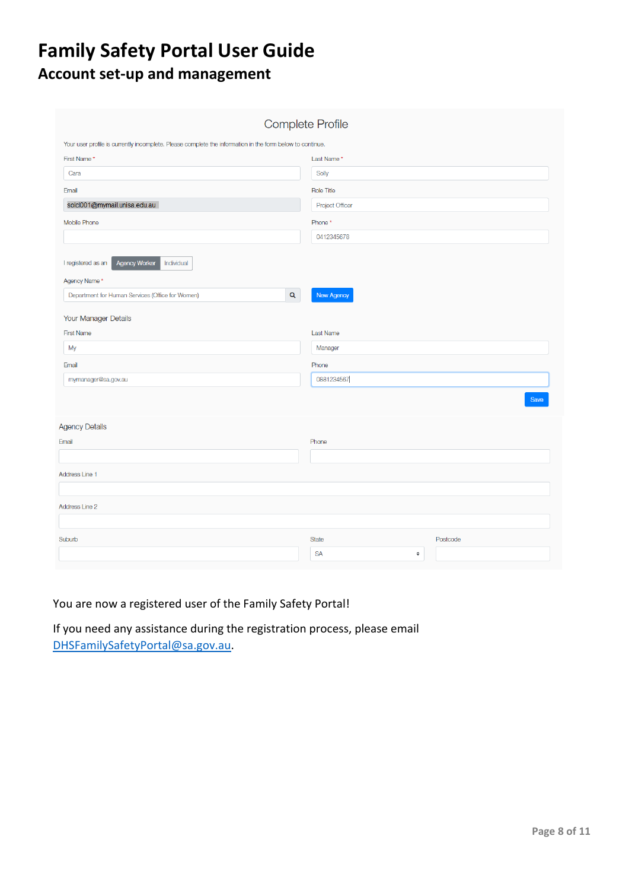|                                                                                                           | <b>Complete Profile</b> |          |
|-----------------------------------------------------------------------------------------------------------|-------------------------|----------|
| Your user profile is currently incomplete. Please complete the information in the form below to continue. |                         |          |
| First Name*                                                                                               | Last Name*              |          |
| Cara                                                                                                      | Solly                   |          |
| Email                                                                                                     | <b>Role Title</b>       |          |
| solcl001@mymail.unisa.edu.au                                                                              | <b>Project Officer</b>  |          |
| Mobile Phone                                                                                              | Phone*                  |          |
|                                                                                                           | 0412345678              |          |
| I registered as an<br><b>Agency Worker</b><br>Individual<br>Agency Name*                                  |                         |          |
| $\mathsf Q$<br>Department for Human Services (Office for Women)                                           | <b>New Agency</b>       |          |
| Your Manager Details                                                                                      |                         |          |
| <b>First Name</b>                                                                                         | <b>Last Name</b>        |          |
| My                                                                                                        | Manager                 |          |
| Email                                                                                                     | Phone                   |          |
| mymanager@sa.gov.au                                                                                       | 0881234567              |          |
|                                                                                                           |                         | Save     |
| <b>Agency Details</b>                                                                                     |                         |          |
| Email                                                                                                     | Phone                   |          |
|                                                                                                           |                         |          |
| Address Line 1                                                                                            |                         |          |
| Address Line 2                                                                                            |                         |          |
| Suburb                                                                                                    | <b>State</b>            | Postcode |
|                                                                                                           | <b>SA</b><br>$\div$     |          |

## You are now a registered user of the Family Safety Portal!

If you need any assistance during the registration process, please email [DHSFamilySafetyPortal@sa.gov.au.](mailto:DHSFamilySafetyPortal@sa.gov.au)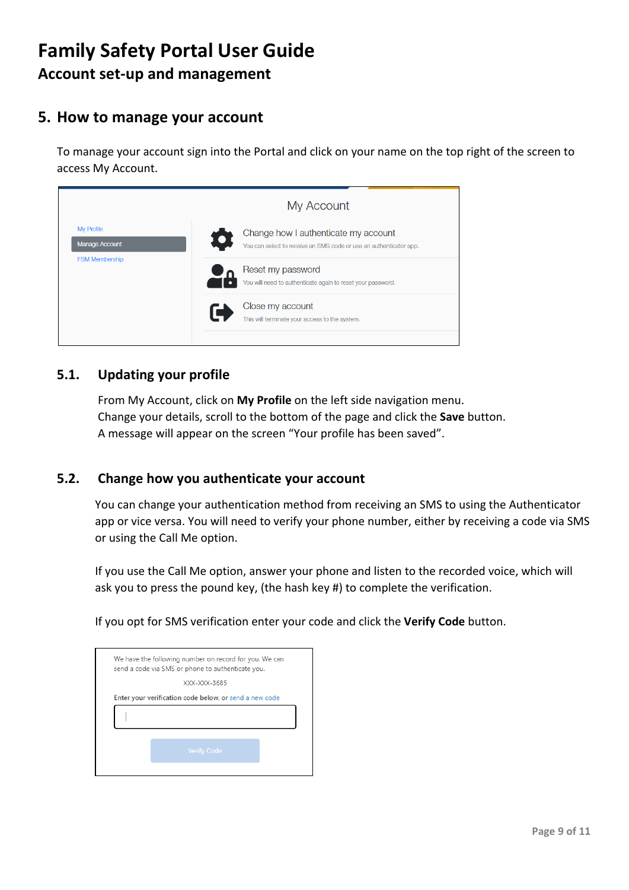# **5. How to manage your account**

To manage your account sign into the Portal and click on your name on the top right of the screen to access My Account.



## **5.1. Updating your profile**

From My Account, click on **My Profile** on the left side navigation menu. Change your details, scroll to the bottom of the page and click the **Save** button. A message will appear on the screen "Your profile has been saved".

### **5.2. Change how you authenticate your account**

You can change your authentication method from receiving an SMS to using the Authenticator app or vice versa. You will need to verify your phone number, either by receiving a code via SMS or using the Call Me option.

If you use the Call Me option, answer your phone and listen to the recorded voice, which will ask you to press the pound key, (the hash key #) to complete the verification.

If you opt for SMS verification enter your code and click the **Verify Code** button.

| We have the following number on record for you. We can<br>send a code via SMS or phone to authenticate you. |  |
|-------------------------------------------------------------------------------------------------------------|--|
| XXX-XXX-3685                                                                                                |  |
| Enter your verification code below, or send a new code                                                      |  |
|                                                                                                             |  |
| <b>Verify Code</b>                                                                                          |  |
|                                                                                                             |  |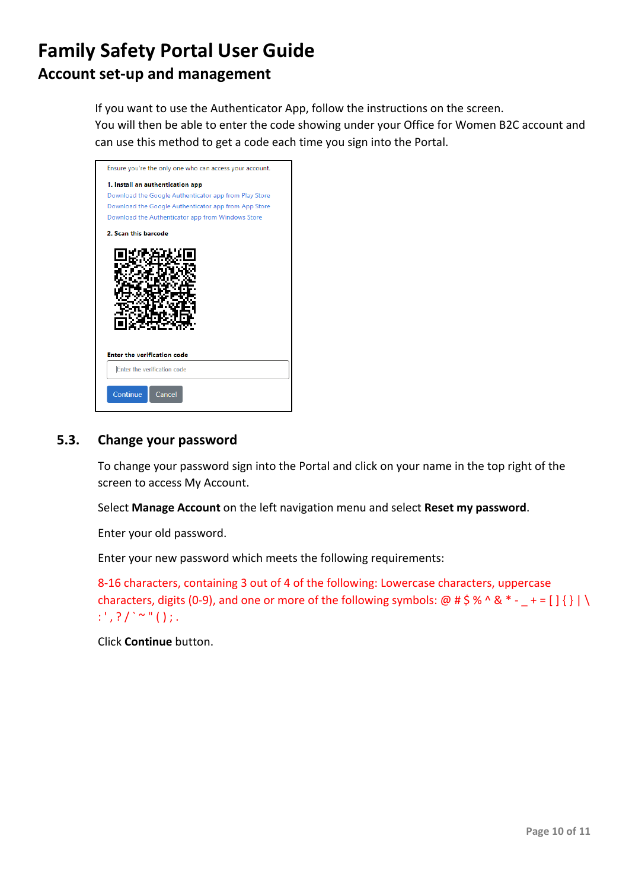If you want to use the Authenticator App, follow the instructions on the screen. You will then be able to enter the code showing under your Office for Women B2C account and can use this method to get a code each time you sign into the Portal.



### **5.3. Change your password**

To change your password sign into the Portal and click on your name in the top right of the screen to access My Account.

Select **Manage Account** on the left navigation menu and select **Reset my password**.

Enter your old password.

Enter your new password which meets the following requirements:

8-16 characters, containing 3 out of 4 of the following: Lowercase characters, uppercase characters, digits (0-9), and one or more of the following symbols: @ # \$ % ^ & \* - \_ + = [ ] { } | \ : ', ? / ` ~ " ( ) ; .

Click **Continue** button.